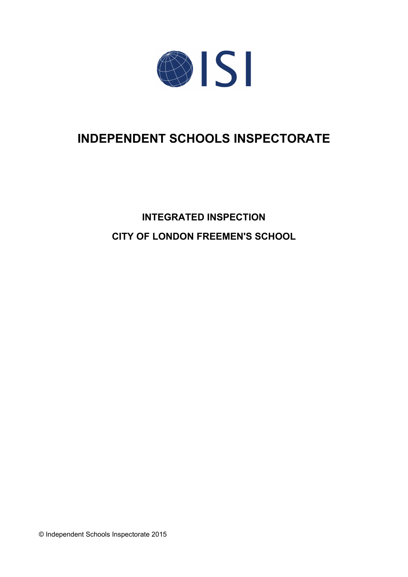

# **INDEPENDENT SCHOOLS INSPECTORATE**

# **INTEGRATED INSPECTION CITY OF LONDON FREEMEN'S SCHOOL**

© Independent Schools Inspectorate 2015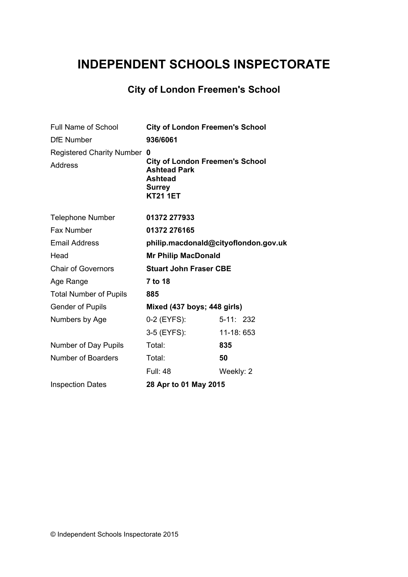## **INDEPENDENT SCHOOLS INSPECTORATE**

## **City of London Freemen's School**

| <b>Full Name of School</b>                         | <b>City of London Freemen's School</b>                                                                                   |            |
|----------------------------------------------------|--------------------------------------------------------------------------------------------------------------------------|------------|
| <b>DfE Number</b>                                  | 936/6061                                                                                                                 |            |
| <b>Registered Charity Number</b><br><b>Address</b> | 0<br><b>City of London Freemen's School</b><br><b>Ashtead Park</b><br><b>Ashtead</b><br><b>Surrey</b><br><b>KT21 1ET</b> |            |
| <b>Telephone Number</b>                            | 01372 277933                                                                                                             |            |
| Fax Number                                         | 01372 276165                                                                                                             |            |
| <b>Email Address</b>                               | philip.macdonald@cityoflondon.gov.uk                                                                                     |            |
| Head                                               | <b>Mr Philip MacDonald</b>                                                                                               |            |
| <b>Chair of Governors</b>                          | <b>Stuart John Fraser CBE</b>                                                                                            |            |
| Age Range                                          | 7 to 18                                                                                                                  |            |
| <b>Total Number of Pupils</b>                      | 885                                                                                                                      |            |
| <b>Gender of Pupils</b>                            | Mixed (437 boys; 448 girls)                                                                                              |            |
| Numbers by Age                                     | 0-2 (EYFS):                                                                                                              | $5-11:232$ |
|                                                    | 3-5 (EYFS):                                                                                                              | 11-18: 653 |
| Number of Day Pupils                               | Total:                                                                                                                   | 835        |
| <b>Number of Boarders</b>                          | Total:                                                                                                                   | 50         |
|                                                    | <b>Full: 48</b>                                                                                                          | Weekly: 2  |
| <b>Inspection Dates</b>                            | 28 Apr to 01 May 2015                                                                                                    |            |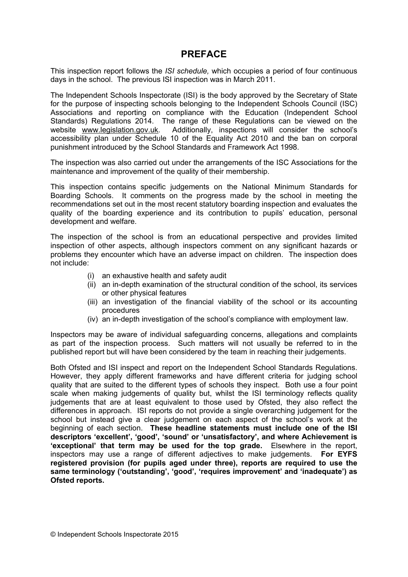## **PREFACE**

This inspection report follows the *ISI schedule,* which occupies a period of four continuous days in the school. The previous ISI inspection was in March 2011.

The Independent Schools Inspectorate (ISI) is the body approved by the Secretary of State for the purpose of inspecting schools belonging to the Independent Schools Council (ISC) Associations and reporting on compliance with the Education (Independent School Standards) Regulations 2014. The range of these Regulations can be viewed on the website [www.legislation.gov.uk.](http://www.legislation.gov.uk) Additionally, inspections will consider the school's accessibility plan under Schedule 10 of the Equality Act 2010 and the ban on corporal punishment introduced by the School Standards and Framework Act 1998.

The inspection was also carried out under the arrangements of the ISC Associations for the maintenance and improvement of the quality of their membership.

This inspection contains specific judgements on the National Minimum Standards for Boarding Schools. It comments on the progress made by the school in meeting the recommendations set out in the most recent statutory boarding inspection and evaluates the quality of the boarding experience and its contribution to pupils' education, personal development and welfare.

The inspection of the school is from an educational perspective and provides limited inspection of other aspects, although inspectors comment on any significant hazards or problems they encounter which have an adverse impact on children. The inspection does not include:

- (i) an exhaustive health and safety audit
- (ii) an in-depth examination of the structural condition of the school, its services or other physical features
- (iii) an investigation of the financial viability of the school or its accounting procedures
- (iv) an in-depth investigation of the school's compliance with employment law.

Inspectors may be aware of individual safeguarding concerns, allegations and complaints as part of the inspection process. Such matters will not usually be referred to in the published report but will have been considered by the team in reaching their judgements.

Both Ofsted and ISI inspect and report on the Independent School Standards Regulations. However, they apply different frameworks and have different criteria for judging school quality that are suited to the different types of schools they inspect. Both use a four point scale when making judgements of quality but, whilst the ISI terminology reflects quality judgements that are at least equivalent to those used by Ofsted, they also reflect the differences in approach. ISI reports do not provide a single overarching judgement for the school but instead give a clear judgement on each aspect of the school's work at the beginning of each section. **These headline statements must include one of the ISI descriptors 'excellent', 'good', 'sound' or 'unsatisfactory', and where Achievement is 'exceptional' that term may be used for the top grade.** Elsewhere in the report, inspectors may use a range of different adjectives to make judgements. **For EYFS registered provision (for pupils aged under three), reports are required to use the same terminology ('outstanding', 'good', 'requires improvement' and 'inadequate') as Ofsted reports.**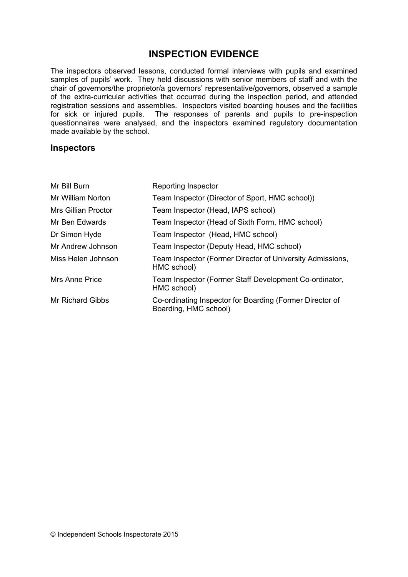## **INSPECTION EVIDENCE**

The inspectors observed lessons, conducted formal interviews with pupils and examined samples of pupils' work. They held discussions with senior members of staff and with the chair of governors/the proprietor/a governors' representative/governors, observed a sample of the extra-curricular activities that occurred during the inspection period, and attended registration sessions and assemblies. Inspectors visited boarding houses and the facilities for sick or injured pupils. The responses of parents and pupils to pre-inspection questionnaires were analysed, and the inspectors examined regulatory documentation made available by the school.

#### **Inspectors**

| Mr Bill Burn               | <b>Reporting Inspector</b>                                                        |
|----------------------------|-----------------------------------------------------------------------------------|
| Mr William Norton          | Team Inspector (Director of Sport, HMC school))                                   |
| <b>Mrs Gillian Proctor</b> | Team Inspector (Head, IAPS school)                                                |
| Mr Ben Edwards             | Team Inspector (Head of Sixth Form, HMC school)                                   |
| Dr Simon Hyde              | Team Inspector (Head, HMC school)                                                 |
| Mr Andrew Johnson          | Team Inspector (Deputy Head, HMC school)                                          |
| Miss Helen Johnson         | Team Inspector (Former Director of University Admissions,<br>HMC school)          |
| Mrs Anne Price             | Team Inspector (Former Staff Development Co-ordinator,<br>HMC school)             |
| Mr Richard Gibbs           | Co-ordinating Inspector for Boarding (Former Director of<br>Boarding, HMC school) |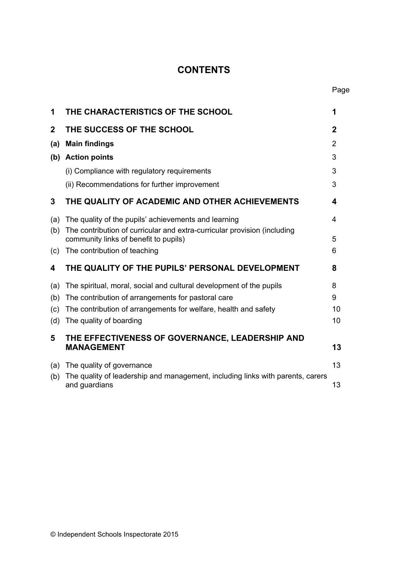## **CONTENTS**

| 1           | THE CHARACTERISTICS OF THE SCHOOL                                                                                 | 1           |
|-------------|-------------------------------------------------------------------------------------------------------------------|-------------|
| $\mathbf 2$ | THE SUCCESS OF THE SCHOOL                                                                                         | $\mathbf 2$ |
| (a)         | <b>Main findings</b>                                                                                              | 2           |
|             | (b) Action points                                                                                                 | 3           |
|             | (i) Compliance with regulatory requirements                                                                       | 3           |
|             | (ii) Recommendations for further improvement                                                                      | 3           |
| 3           | THE QUALITY OF ACADEMIC AND OTHER ACHIEVEMENTS                                                                    | 4           |
| (a)         | The quality of the pupils' achievements and learning                                                              | 4           |
| (b)         | The contribution of curricular and extra-curricular provision (including<br>community links of benefit to pupils) | 5           |
| (c)         | The contribution of teaching                                                                                      | 6           |
| 4           | THE QUALITY OF THE PUPILS' PERSONAL DEVELOPMENT                                                                   | 8           |
| (a)         | The spiritual, moral, social and cultural development of the pupils                                               | 8           |
| (b)         | The contribution of arrangements for pastoral care                                                                | 9           |
| (c)         | The contribution of arrangements for welfare, health and safety                                                   | 10          |
| (d)         | The quality of boarding                                                                                           | 10          |
| 5           | THE EFFECTIVENESS OF GOVERNANCE, LEADERSHIP AND<br><b>MANAGEMENT</b>                                              | 13          |
| (a)         | The quality of governance                                                                                         | 13          |
| (b)         | The quality of leadership and management, including links with parents, carers<br>and guardians                   | 13          |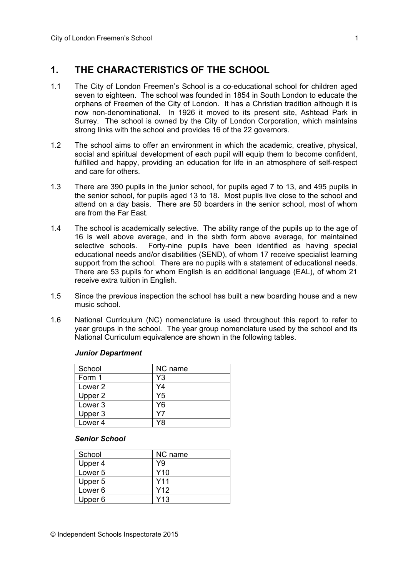## **1. THE CHARACTERISTICS OF THE SCHOOL**

- 1.1 The City of London Freemen's School is a co-educational school for children aged seven to eighteen. The school was founded in 1854 in South London to educate the orphans of Freemen of the City of London. It has a Christian tradition although it is now non-denominational. In 1926 it moved to its present site, Ashtead Park in Surrey. The school is owned by the City of London Corporation, which maintains strong links with the school and provides 16 of the 22 governors.
- 1.2 The school aims to offer an environment in which the academic, creative, physical, social and spiritual development of each pupil will equip them to become confident, fulfilled and happy, providing an education for life in an atmosphere of self-respect and care for others.
- 1.3 There are 390 pupils in the junior school, for pupils aged 7 to 13, and 495 pupils in the senior school, for pupils aged 13 to 18. Most pupils live close to the school and attend on a day basis. There are 50 boarders in the senior school, most of whom are from the Far East.
- 1.4 The school is academically selective. The ability range of the pupils up to the age of 16 is well above average, and in the sixth form above average, for maintained selective schools. Forty-nine pupils have been identified as having special educational needs and/or disabilities (SEND), of whom 17 receive specialist learning support from the school. There are no pupils with a statement of educational needs. There are 53 pupils for whom English is an additional language (EAL), of whom 21 receive extra tuition in English.
- 1.5 Since the previous inspection the school has built a new boarding house and a new music school.
- 1.6 National Curriculum (NC) nomenclature is used throughout this report to refer to year groups in the school. The year group nomenclature used by the school and its National Curriculum equivalence are shown in the following tables.

#### *Junior Department*

| School             | NC name |
|--------------------|---------|
| Form 1             | Y3      |
| Lower 2            | Y4      |
| Upper 2            | Y5      |
| Lower <sub>3</sub> | Y6      |
| Upper 3            | Υ7      |
| Lower <sub>4</sub> | Y8      |

#### *Senior School*

| School             | NC name         |
|--------------------|-----------------|
| Upper 4            | Y9              |
| Lower <sub>5</sub> | Y <sub>10</sub> |
| Upper 5            | Y11             |
| Lower <sub>6</sub> | Y12             |
| Upper 6            | Y13             |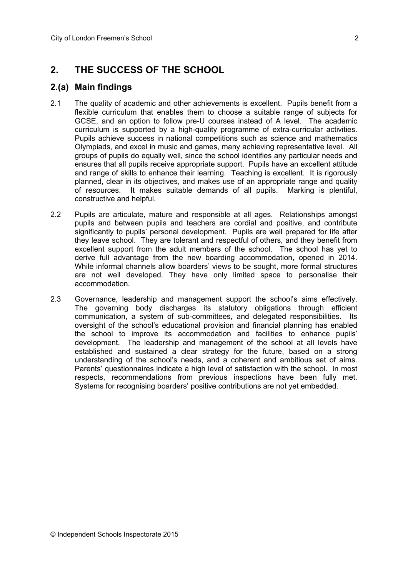## **2. THE SUCCESS OF THE SCHOOL**

## **2.(a) Main findings**

- 2.1 The quality of academic and other achievements is excellent. Pupils benefit from a flexible curriculum that enables them to choose a suitable range of subjects for GCSE, and an option to follow pre-U courses instead of A level. The academic curriculum is supported by a high-quality programme of extra-curricular activities. Pupils achieve success in national competitions such as science and mathematics Olympiads, and excel in music and games, many achieving representative level. All groups of pupils do equally well, since the school identifies any particular needs and ensures that all pupils receive appropriate support. Pupils have an excellent attitude and range of skills to enhance their learning. Teaching is excellent. It is rigorously planned, clear in its objectives, and makes use of an appropriate range and quality of resources. It makes suitable demands of all pupils. Marking is plentiful, constructive and helpful.
- 2.2 Pupils are articulate, mature and responsible at all ages. Relationships amongst pupils and between pupils and teachers are cordial and positive, and contribute significantly to pupils' personal development. Pupils are well prepared for life after they leave school. They are tolerant and respectful of others, and they benefit from excellent support from the adult members of the school. The school has yet to derive full advantage from the new boarding accommodation, opened in 2014. While informal channels allow boarders' views to be sought, more formal structures are not well developed. They have only limited space to personalise their accommodation.
- 2.3 Governance, leadership and management support the school's aims effectively. The governing body discharges its statutory obligations through efficient communication, a system of sub-committees, and delegated responsibilities. Its oversight of the school's educational provision and financial planning has enabled the school to improve its accommodation and facilities to enhance pupils' development. The leadership and management of the school at all levels have established and sustained a clear strategy for the future, based on a strong understanding of the school's needs, and a coherent and ambitious set of aims. Parents' questionnaires indicate a high level of satisfaction with the school. In most respects, recommendations from previous inspections have been fully met. Systems for recognising boarders' positive contributions are not yet embedded.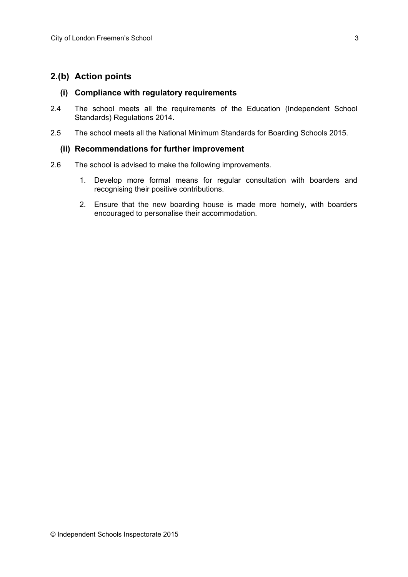## **2.(b) Action points**

#### **(i) Compliance with regulatory requirements**

- 2.4 The school meets all the requirements of the Education (Independent School Standards) Regulations 2014.
- 2.5 The school meets all the National Minimum Standards for Boarding Schools 2015.

#### **(ii) Recommendations for further improvement**

- 2.6 The school is advised to make the following improvements.
	- 1. Develop more formal means for regular consultation with boarders and recognising their positive contributions.
	- 2. Ensure that the new boarding house is made more homely, with boarders encouraged to personalise their accommodation.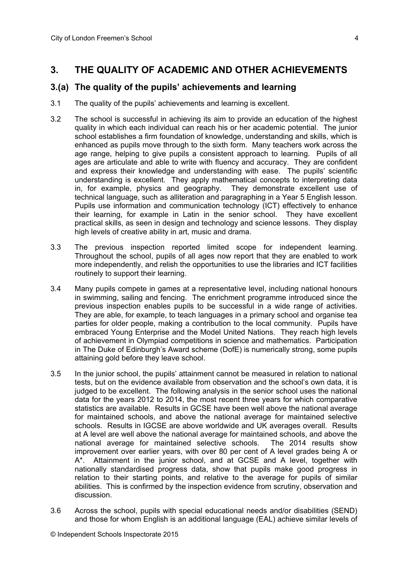## **3. THE QUALITY OF ACADEMIC AND OTHER ACHIEVEMENTS**

## **3.(a) The quality of the pupils' achievements and learning**

- 3.1 The quality of the pupils' achievements and learning is excellent.
- 3.2 The school is successful in achieving its aim to provide an education of the highest quality in which each individual can reach his or her academic potential. The junior school establishes a firm foundation of knowledge, understanding and skills, which is enhanced as pupils move through to the sixth form. Many teachers work across the age range, helping to give pupils a consistent approach to learning. Pupils of all ages are articulate and able to write with fluency and accuracy. They are confident and express their knowledge and understanding with ease. The pupils' scientific understanding is excellent. They apply mathematical concepts to interpreting data in, for example, physics and geography. They demonstrate excellent use of technical language, such as alliteration and paragraphing in a Year 5 English lesson. Pupils use information and communication technology (ICT) effectively to enhance their learning, for example in Latin in the senior school. They have excellent practical skills, as seen in design and technology and science lessons. They display high levels of creative ability in art, music and drama.
- 3.3 The previous inspection reported limited scope for independent learning. Throughout the school, pupils of all ages now report that they are enabled to work more independently, and relish the opportunities to use the libraries and ICT facilities routinely to support their learning.
- 3.4 Many pupils compete in games at a representative level, including national honours in swimming, sailing and fencing. The enrichment programme introduced since the previous inspection enables pupils to be successful in a wide range of activities. They are able, for example, to teach languages in a primary school and organise tea parties for older people, making a contribution to the local community. Pupils have embraced Young Enterprise and the Model United Nations. They reach high levels of achievement in Olympiad competitions in science and mathematics. Participation in The Duke of Edinburgh's Award scheme (DofE) is numerically strong, some pupils attaining gold before they leave school.
- 3.5 In the junior school, the pupils' attainment cannot be measured in relation to national tests, but on the evidence available from observation and the school's own data, it is judged to be excellent. The following analysis in the senior school uses the national data for the years 2012 to 2014, the most recent three years for which comparative statistics are available. Results in GCSE have been well above the national average for maintained schools, and above the national average for maintained selective schools. Results in IGCSE are above worldwide and UK averages overall. Results at A level are well above the national average for maintained schools, and above the national average for maintained selective schools. The 2014 results show improvement over earlier years, with over 80 per cent of A level grades being A or A\*. Attainment in the junior school, and at GCSE and A level, together with nationally standardised progress data, show that pupils make good progress in relation to their starting points, and relative to the average for pupils of similar abilities. This is confirmed by the inspection evidence from scrutiny, observation and discussion.
- 3.6 Across the school, pupils with special educational needs and/or disabilities (SEND) and those for whom English is an additional language (EAL) achieve similar levels of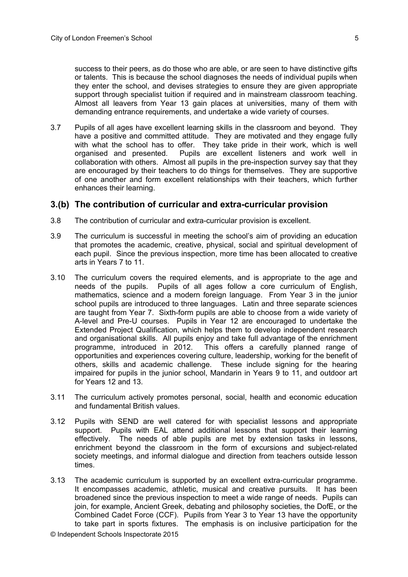success to their peers, as do those who are able, or are seen to have distinctive gifts or talents. This is because the school diagnoses the needs of individual pupils when they enter the school, and devises strategies to ensure they are given appropriate support through specialist tuition if required and in mainstream classroom teaching. Almost all leavers from Year 13 gain places at universities, many of them with demanding entrance requirements, and undertake a wide variety of courses.

3.7 Pupils of all ages have excellent learning skills in the classroom and beyond. They have a positive and committed attitude. They are motivated and they engage fully with what the school has to offer. They take pride in their work, which is well organised and presented. Pupils are excellent listeners and work well in collaboration with others. Almost all pupils in the pre-inspection survey say that they are encouraged by their teachers to do things for themselves. They are supportive of one another and form excellent relationships with their teachers, which further enhances their learning.

#### **3.(b) The contribution of curricular and extra-curricular provision**

- 3.8 The contribution of curricular and extra-curricular provision is excellent.
- 3.9 The curriculum is successful in meeting the school's aim of providing an education that promotes the academic, creative, physical, social and spiritual development of each pupil. Since the previous inspection, more time has been allocated to creative arts in Years 7 to 11.
- 3.10 The curriculum covers the required elements, and is appropriate to the age and needs of the pupils. Pupils of all ages follow a core curriculum of English, mathematics, science and a modern foreign language. From Year 3 in the junior school pupils are introduced to three languages. Latin and three separate sciences are taught from Year 7. Sixth-form pupils are able to choose from a wide variety of A-level and Pre-U courses. Pupils in Year 12 are encouraged to undertake the Extended Project Qualification, which helps them to develop independent research and organisational skills. All pupils enjoy and take full advantage of the enrichment programme, introduced in 2012. This offers a carefully planned range of opportunities and experiences covering culture, leadership, working for the benefit of others, skills and academic challenge. These include signing for the hearing impaired for pupils in the junior school, Mandarin in Years 9 to 11, and outdoor art for Years 12 and 13.
- 3.11 The curriculum actively promotes personal, social, health and economic education and fundamental British values.
- 3.12 Pupils with SEND are well catered for with specialist lessons and appropriate support. Pupils with EAL attend additional lessons that support their learning effectively. The needs of able pupils are met by extension tasks in lessons, enrichment beyond the classroom in the form of excursions and subject-related society meetings, and informal dialogue and direction from teachers outside lesson times.
- 3.13 The academic curriculum is supported by an excellent extra-curricular programme. It encompasses academic, athletic, musical and creative pursuits. It has been broadened since the previous inspection to meet a wide range of needs. Pupils can join, for example, Ancient Greek, debating and philosophy societies, the DofE, or the Combined Cadet Force (CCF). Pupils from Year 3 to Year 13 have the opportunity to take part in sports fixtures. The emphasis is on inclusive participation for the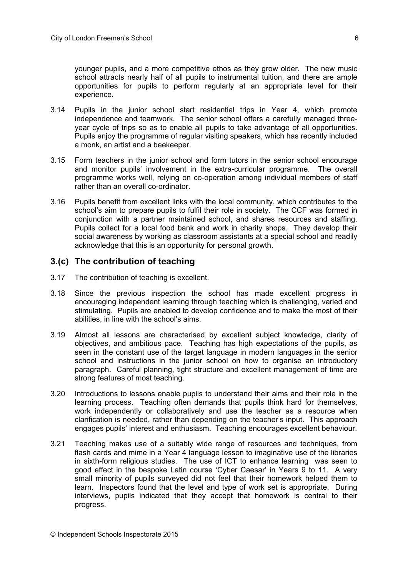younger pupils, and a more competitive ethos as they grow older. The new music school attracts nearly half of all pupils to instrumental tuition, and there are ample opportunities for pupils to perform regularly at an appropriate level for their experience.

- 3.14 Pupils in the junior school start residential trips in Year 4, which promote independence and teamwork. The senior school offers a carefully managed threeyear cycle of trips so as to enable all pupils to take advantage of all opportunities. Pupils enjoy the programme of regular visiting speakers, which has recently included a monk, an artist and a beekeeper.
- 3.15 Form teachers in the junior school and form tutors in the senior school encourage and monitor pupils' involvement in the extra-curricular programme. The overall programme works well, relying on co-operation among individual members of staff rather than an overall co-ordinator.
- 3.16 Pupils benefit from excellent links with the local community, which contributes to the school's aim to prepare pupils to fulfil their role in society. The CCF was formed in conjunction with a partner maintained school, and shares resources and staffing. Pupils collect for a local food bank and work in charity shops. They develop their social awareness by working as classroom assistants at a special school and readily acknowledge that this is an opportunity for personal growth.

## **3.(c) The contribution of teaching**

- 3.17 The contribution of teaching is excellent.
- 3.18 Since the previous inspection the school has made excellent progress in encouraging independent learning through teaching which is challenging, varied and stimulating. Pupils are enabled to develop confidence and to make the most of their abilities, in line with the school's aims.
- 3.19 Almost all lessons are characterised by excellent subject knowledge, clarity of objectives, and ambitious pace. Teaching has high expectations of the pupils, as seen in the constant use of the target language in modern languages in the senior school and instructions in the junior school on how to organise an introductory paragraph. Careful planning, tight structure and excellent management of time are strong features of most teaching.
- 3.20 Introductions to lessons enable pupils to understand their aims and their role in the learning process. Teaching often demands that pupils think hard for themselves, work independently or collaboratively and use the teacher as a resource when clarification is needed, rather than depending on the teacher's input. This approach engages pupils' interest and enthusiasm. Teaching encourages excellent behaviour.
- 3.21 Teaching makes use of a suitably wide range of resources and techniques, from flash cards and mime in a Year 4 language lesson to imaginative use of the libraries in sixth-form religious studies. The use of ICT to enhance learning was seen to good effect in the bespoke Latin course 'Cyber Caesar' in Years 9 to 11. A very small minority of pupils surveyed did not feel that their homework helped them to learn. Inspectors found that the level and type of work set is appropriate. During interviews, pupils indicated that they accept that homework is central to their progress.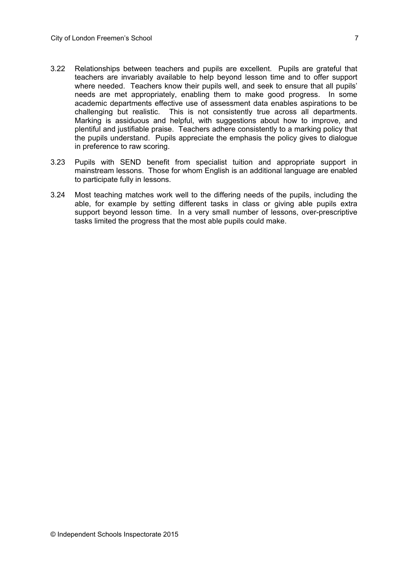- 3.22 Relationships between teachers and pupils are excellent. Pupils are grateful that teachers are invariably available to help beyond lesson time and to offer support where needed. Teachers know their pupils well, and seek to ensure that all pupils' needs are met appropriately, enabling them to make good progress. In some academic departments effective use of assessment data enables aspirations to be challenging but realistic. This is not consistently true across all departments. Marking is assiduous and helpful, with suggestions about how to improve, and plentiful and justifiable praise. Teachers adhere consistently to a marking policy that the pupils understand. Pupils appreciate the emphasis the policy gives to dialogue in preference to raw scoring.
- 3.23 Pupils with SEND benefit from specialist tuition and appropriate support in mainstream lessons. Those for whom English is an additional language are enabled to participate fully in lessons.
- 3.24 Most teaching matches work well to the differing needs of the pupils, including the able, for example by setting different tasks in class or giving able pupils extra support beyond lesson time. In a very small number of lessons, over-prescriptive tasks limited the progress that the most able pupils could make.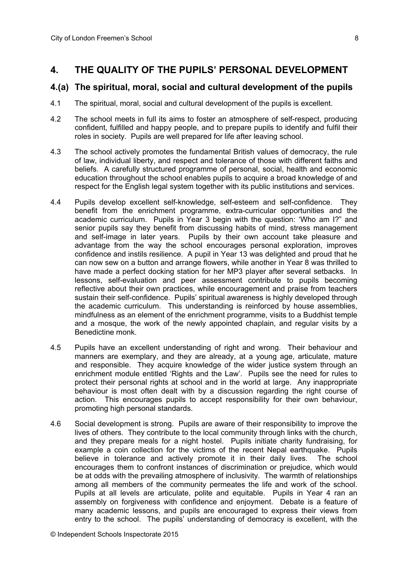## **4. THE QUALITY OF THE PUPILS' PERSONAL DEVELOPMENT**

## **4.(a) The spiritual, moral, social and cultural development of the pupils**

- 4.1 The spiritual, moral, social and cultural development of the pupils is excellent.
- 4.2 The school meets in full its aims to foster an atmosphere of self-respect, producing confident, fulfilled and happy people, and to prepare pupils to identify and fulfil their roles in society. Pupils are well prepared for life after leaving school.
- 4.3 The school actively promotes the fundamental British values of democracy, the rule of law, individual liberty, and respect and tolerance of those with different faiths and beliefs. A carefully structured programme of personal, social, health and economic education throughout the school enables pupils to acquire a broad knowledge of and respect for the English legal system together with its public institutions and services.
- 4.4 Pupils develop excellent self-knowledge, self-esteem and self-confidence. They benefit from the enrichment programme, extra-curricular opportunities and the academic curriculum. Pupils in Year 3 begin with the question: 'Who am I?" and senior pupils say they benefit from discussing habits of mind, stress management and self-image in later years. Pupils by their own account take pleasure and advantage from the way the school encourages personal exploration, improves confidence and instils resilience. A pupil in Year 13 was delighted and proud that he can now sew on a button and arrange flowers, while another in Year 8 was thrilled to have made a perfect docking station for her MP3 player after several setbacks. In lessons, self-evaluation and peer assessment contribute to pupils becoming reflective about their own practices, while encouragement and praise from teachers sustain their self-confidence. Pupils' spiritual awareness is highly developed through the academic curriculum. This understanding is reinforced by house assemblies, mindfulness as an element of the enrichment programme, visits to a Buddhist temple and a mosque, the work of the newly appointed chaplain, and regular visits by a Benedictine monk.
- 4.5 Pupils have an excellent understanding of right and wrong. Their behaviour and manners are exemplary, and they are already, at a young age, articulate, mature and responsible. They acquire knowledge of the wider justice system through an enrichment module entitled 'Rights and the Law'. Pupils see the need for rules to protect their personal rights at school and in the world at large. Any inappropriate behaviour is most often dealt with by a discussion regarding the right course of action. This encourages pupils to accept responsibility for their own behaviour, promoting high personal standards.
- 4.6 Social development is strong. Pupils are aware of their responsibility to improve the lives of others. They contribute to the local community through links with the church, and they prepare meals for a night hostel. Pupils initiate charity fundraising, for example a coin collection for the victims of the recent Nepal earthquake. Pupils believe in tolerance and actively promote it in their daily lives. The school encourages them to confront instances of discrimination or prejudice, which would be at odds with the prevailing atmosphere of inclusivity. The warmth of relationships among all members of the community permeates the life and work of the school. Pupils at all levels are articulate, polite and equitable. Pupils in Year 4 ran an assembly on forgiveness with confidence and enjoyment. Debate is a feature of many academic lessons, and pupils are encouraged to express their views from entry to the school. The pupils' understanding of democracy is excellent, with the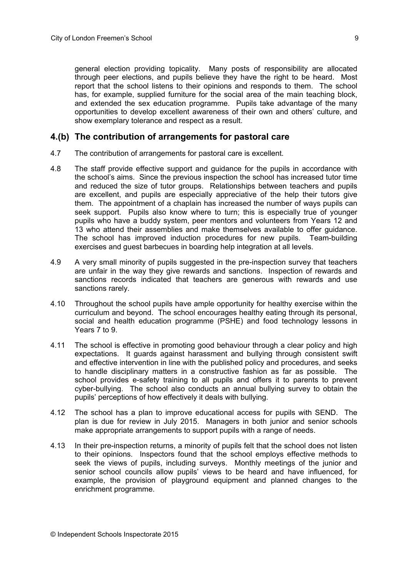general election providing topicality. Many posts of responsibility are allocated through peer elections, and pupils believe they have the right to be heard. Most report that the school listens to their opinions and responds to them. The school has, for example, supplied furniture for the social area of the main teaching block, and extended the sex education programme. Pupils take advantage of the many opportunities to develop excellent awareness of their own and others' culture, and show exemplary tolerance and respect as a result.

#### **4.(b) The contribution of arrangements for pastoral care**

- 4.7 The contribution of arrangements for pastoral care is excellent.
- 4.8 The staff provide effective support and guidance for the pupils in accordance with the school's aims. Since the previous inspection the school has increased tutor time and reduced the size of tutor groups. Relationships between teachers and pupils are excellent, and pupils are especially appreciative of the help their tutors give them. The appointment of a chaplain has increased the number of ways pupils can seek support. Pupils also know where to turn; this is especially true of younger pupils who have a buddy system, peer mentors and volunteers from Years 12 and 13 who attend their assemblies and make themselves available to offer guidance. The school has improved induction procedures for new pupils. Team-building exercises and guest barbecues in boarding help integration at all levels.
- 4.9 A very small minority of pupils suggested in the pre-inspection survey that teachers are unfair in the way they give rewards and sanctions. Inspection of rewards and sanctions records indicated that teachers are generous with rewards and use sanctions rarely.
- 4.10 Throughout the school pupils have ample opportunity for healthy exercise within the curriculum and beyond. The school encourages healthy eating through its personal, social and health education programme (PSHE) and food technology lessons in Years 7 to 9.
- 4.11 The school is effective in promoting good behaviour through a clear policy and high expectations. It guards against harassment and bullying through consistent swift and effective intervention in line with the published policy and procedures, and seeks to handle disciplinary matters in a constructive fashion as far as possible. The school provides e-safety training to all pupils and offers it to parents to prevent cyber-bullying. The school also conducts an annual bullying survey to obtain the pupils' perceptions of how effectively it deals with bullying.
- 4.12 The school has a plan to improve educational access for pupils with SEND. The plan is due for review in July 2015. Managers in both junior and senior schools make appropriate arrangements to support pupils with a range of needs.
- 4.13 In their pre-inspection returns, a minority of pupils felt that the school does not listen to their opinions. Inspectors found that the school employs effective methods to seek the views of pupils, including surveys. Monthly meetings of the junior and senior school councils allow pupils' views to be heard and have influenced, for example, the provision of playground equipment and planned changes to the enrichment programme.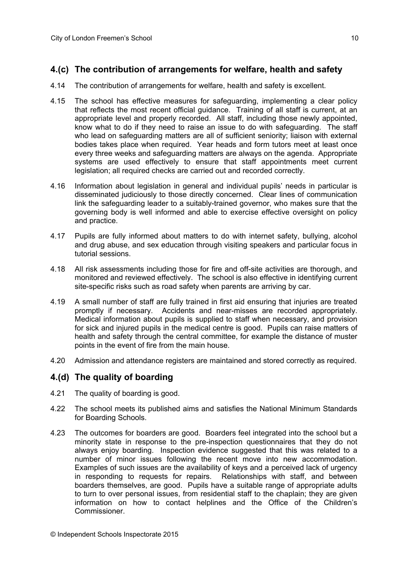## **4.(c) The contribution of arrangements for welfare, health and safety**

- 4.14 The contribution of arrangements for welfare, health and safety is excellent.
- 4.15 The school has effective measures for safeguarding, implementing a clear policy that reflects the most recent official guidance. Training of all staff is current, at an appropriate level and properly recorded. All staff, including those newly appointed, know what to do if they need to raise an issue to do with safeguarding. The staff who lead on safeguarding matters are all of sufficient seniority; liaison with external bodies takes place when required. Year heads and form tutors meet at least once every three weeks and safeguarding matters are always on the agenda. Appropriate systems are used effectively to ensure that staff appointments meet current legislation; all required checks are carried out and recorded correctly.
- 4.16 Information about legislation in general and individual pupils' needs in particular is disseminated judiciously to those directly concerned. Clear lines of communication link the safeguarding leader to a suitably-trained governor, who makes sure that the governing body is well informed and able to exercise effective oversight on policy and practice.
- 4.17 Pupils are fully informed about matters to do with internet safety, bullying, alcohol and drug abuse, and sex education through visiting speakers and particular focus in tutorial sessions.
- 4.18 All risk assessments including those for fire and off-site activities are thorough, and monitored and reviewed effectively. The school is also effective in identifying current site-specific risks such as road safety when parents are arriving by car.
- 4.19 A small number of staff are fully trained in first aid ensuring that injuries are treated promptly if necessary. Accidents and near-misses are recorded appropriately. Medical information about pupils is supplied to staff when necessary, and provision for sick and injured pupils in the medical centre is good. Pupils can raise matters of health and safety through the central committee, for example the distance of muster points in the event of fire from the main house.
- 4.20 Admission and attendance registers are maintained and stored correctly as required.

## **4.(d) The quality of boarding**

- 4.21 The quality of boarding is good.
- 4.22 The school meets its published aims and satisfies the National Minimum Standards for Boarding Schools.
- 4.23 The outcomes for boarders are good. Boarders feel integrated into the school but a minority state in response to the pre-inspection questionnaires that they do not always enjoy boarding. Inspection evidence suggested that this was related to a number of minor issues following the recent move into new accommodation. Examples of such issues are the availability of keys and a perceived lack of urgency in responding to requests for repairs. Relationships with staff, and between boarders themselves, are good. Pupils have a suitable range of appropriate adults to turn to over personal issues, from residential staff to the chaplain; they are given information on how to contact helplines and the Office of the Children's Commissioner.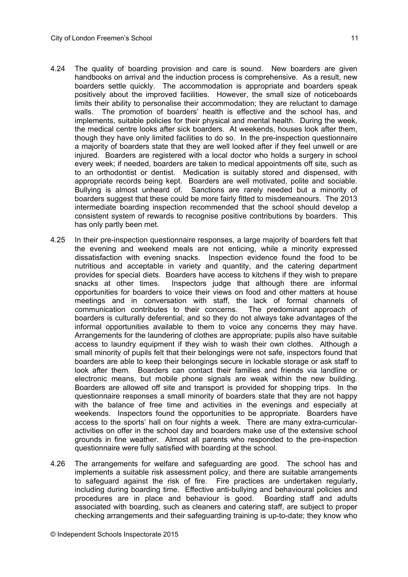- 4.24 The quality of boarding provision and care is sound. New boarders are given handbooks on arrival and the induction process is comprehensive. As a result, new boarders settle quickly. The accommodation is appropriate and boarders speak positively about the improved facilities. However, the small size of noticeboards limits their ability to personalise their accommodation; they are reluctant to damage walls. The promotion of boarders' health is effective and the school has, and implements, suitable policies for their physical and mental health. During the week, the medical centre looks after sick boarders. At weekends, houses look after them, though they have only limited facilities to do so. In the pre-inspection questionnaire a majority of boarders state that they are well looked after if they feel unwell or are injured. Boarders are registered with a local doctor who holds a surgery in school every week; if needed, boarders are taken to medical appointments off site, such as to an orthodontist or dentist. Medication is suitably stored and dispensed, with appropriate records being kept. Boarders are well motivated, polite and sociable. Bullying is almost unheard of. Sanctions are rarely needed but a minority of boarders suggest that these could be more fairly fitted to misdemeanours. The 2013 intermediate boarding inspection recommended that the school should develop a consistent system of rewards to recognise positive contributions by boarders. This has only partly been met.
- 4.25 In their pre-inspection questionnaire responses, a large majority of boarders felt that the evening and weekend meals are not enticing, while a minority expressed dissatisfaction with evening snacks. Inspection evidence found the food to be nutritious and acceptable in variety and quantity, and the catering department provides for special diets. Boarders have access to kitchens if they wish to prepare snacks at other times. Inspectors judge that although there are informal opportunities for boarders to voice their views on food and other matters at house meetings and in conversation with staff, the lack of formal channels of communication contributes to their concerns. The predominant approach of boarders is culturally deferential, and so they do not always take advantages of the informal opportunities available to them to voice any concerns they may have. Arrangements for the laundering of clothes are appropriate; pupils also have suitable access to laundry equipment if they wish to wash their own clothes. Although a small minority of pupils felt that their belongings were not safe, inspectors found that boarders are able to keep their belongings secure in lockable storage or ask staff to look after them. Boarders can contact their families and friends via landline or electronic means, but mobile phone signals are weak within the new building. Boarders are allowed off site and transport is provided for shopping trips. In the questionnaire responses a small minority of boarders state that they are not happy with the balance of free time and activities in the evenings and especially at weekends. Inspectors found the opportunities to be appropriate. Boarders have access to the sports' hall on four nights a week. There are many extra-curricularactivities on offer in the school day and boarders make use of the extensive school grounds in fine weather. Almost all parents who responded to the pre-inspection questionnaire were fully satisfied with boarding at the school.
- 4.26 The arrangements for welfare and safeguarding are good. The school has and implements a suitable risk assessment policy, and there are suitable arrangements to safeguard against the risk of fire. Fire practices are undertaken regularly, including during boarding time. Effective anti-bullying and behavioural policies and procedures are in place and behaviour is good. Boarding staff and adults associated with boarding, such as cleaners and catering staff, are subject to proper checking arrangements and their safeguarding training is up-to-date; they know who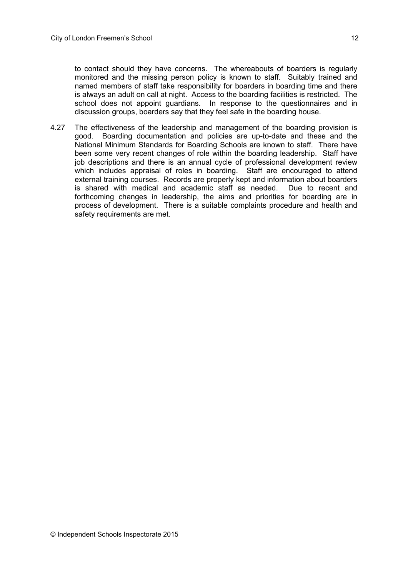to contact should they have concerns. The whereabouts of boarders is regularly monitored and the missing person policy is known to staff. Suitably trained and named members of staff take responsibility for boarders in boarding time and there is always an adult on call at night. Access to the boarding facilities is restricted. The school does not appoint quardians. In response to the questionnaires and in discussion groups, boarders say that they feel safe in the boarding house.

4.27 The effectiveness of the leadership and management of the boarding provision is good. Boarding documentation and policies are up-to-date and these and the National Minimum Standards for Boarding Schools are known to staff. There have been some very recent changes of role within the boarding leadership. Staff have job descriptions and there is an annual cycle of professional development review which includes appraisal of roles in boarding. Staff are encouraged to attend external training courses. Records are properly kept and information about boarders is shared with medical and academic staff as needed. Due to recent and forthcoming changes in leadership, the aims and priorities for boarding are in process of development. There is a suitable complaints procedure and health and safety requirements are met.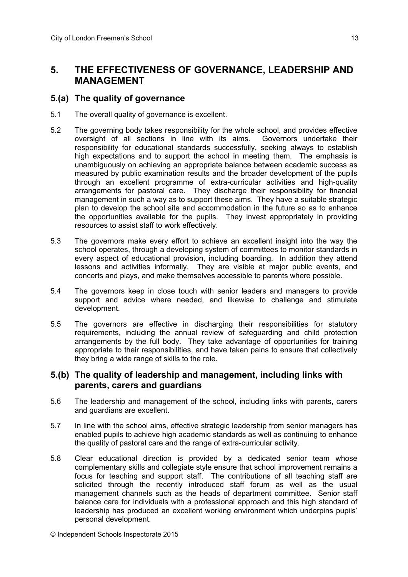## **5. THE EFFECTIVENESS OF GOVERNANCE, LEADERSHIP AND MANAGEMENT**

### **5.(a) The quality of governance**

- 5.1 The overall quality of governance is excellent.
- 5.2 The governing body takes responsibility for the whole school, and provides effective oversight of all sections in line with its aims. Governors undertake their responsibility for educational standards successfully, seeking always to establish high expectations and to support the school in meeting them. The emphasis is unambiguously on achieving an appropriate balance between academic success as measured by public examination results and the broader development of the pupils through an excellent programme of extra-curricular activities and high-quality arrangements for pastoral care. They discharge their responsibility for financial management in such a way as to support these aims. They have a suitable strategic plan to develop the school site and accommodation in the future so as to enhance the opportunities available for the pupils. They invest appropriately in providing resources to assist staff to work effectively.
- 5.3 The governors make every effort to achieve an excellent insight into the way the school operates, through a developing system of committees to monitor standards in every aspect of educational provision, including boarding. In addition they attend lessons and activities informally. They are visible at major public events, and concerts and plays, and make themselves accessible to parents where possible.
- 5.4 The governors keep in close touch with senior leaders and managers to provide support and advice where needed, and likewise to challenge and stimulate development.
- 5.5 The governors are effective in discharging their responsibilities for statutory requirements, including the annual review of safeguarding and child protection arrangements by the full body. They take advantage of opportunities for training appropriate to their responsibilities, and have taken pains to ensure that collectively they bring a wide range of skills to the role.

## **5.(b) The quality of leadership and management, including links with parents, carers and guardians**

- 5.6 The leadership and management of the school, including links with parents, carers and guardians are excellent.
- 5.7 In line with the school aims, effective strategic leadership from senior managers has enabled pupils to achieve high academic standards as well as continuing to enhance the quality of pastoral care and the range of extra-curricular activity.
- 5.8 Clear educational direction is provided by a dedicated senior team whose complementary skills and collegiate style ensure that school improvement remains a focus for teaching and support staff. The contributions of all teaching staff are solicited through the recently introduced staff forum as well as the usual management channels such as the heads of department committee. Senior staff balance care for individuals with a professional approach and this high standard of leadership has produced an excellent working environment which underpins pupils' personal development.

© Independent Schools Inspectorate 2015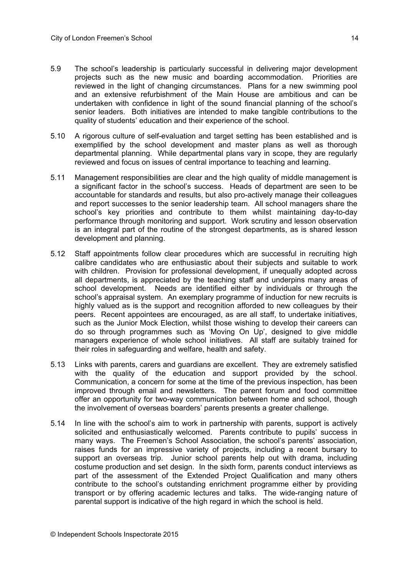- 5.9 The school's leadership is particularly successful in delivering major development projects such as the new music and boarding accommodation. Priorities are reviewed in the light of changing circumstances. Plans for a new swimming pool and an extensive refurbishment of the Main House are ambitious and can be undertaken with confidence in light of the sound financial planning of the school's senior leaders. Both initiatives are intended to make tangible contributions to the quality of students' education and their experience of the school.
- 5.10 A rigorous culture of self-evaluation and target setting has been established and is exemplified by the school development and master plans as well as thorough departmental planning. While departmental plans vary in scope, they are regularly reviewed and focus on issues of central importance to teaching and learning.
- 5.11 Management responsibilities are clear and the high quality of middle management is a significant factor in the school's success. Heads of department are seen to be accountable for standards and results, but also pro-actively manage their colleagues and report successes to the senior leadership team. All school managers share the school's key priorities and contribute to them whilst maintaining day-to-day performance through monitoring and support. Work scrutiny and lesson observation is an integral part of the routine of the strongest departments, as is shared lesson development and planning.
- 5.12 Staff appointments follow clear procedures which are successful in recruiting high calibre candidates who are enthusiastic about their subjects and suitable to work with children. Provision for professional development, if unequally adopted across all departments, is appreciated by the teaching staff and underpins many areas of school development. Needs are identified either by individuals or through the school's appraisal system. An exemplary programme of induction for new recruits is highly valued as is the support and recognition afforded to new colleagues by their peers. Recent appointees are encouraged, as are all staff, to undertake initiatives, such as the Junior Mock Election, whilst those wishing to develop their careers can do so through programmes such as 'Moving On Up', designed to give middle managers experience of whole school initiatives. All staff are suitably trained for their roles in safeguarding and welfare, health and safety.
- 5.13 Links with parents, carers and guardians are excellent. They are extremely satisfied with the quality of the education and support provided by the school. Communication, a concern for some at the time of the previous inspection, has been improved through email and newsletters. The parent forum and food committee offer an opportunity for two-way communication between home and school, though the involvement of overseas boarders' parents presents a greater challenge.
- 5.14 In line with the school's aim to work in partnership with parents, support is actively solicited and enthusiastically welcomed. Parents contribute to pupils' success in many ways. The Freemen's School Association, the school's parents' association, raises funds for an impressive variety of projects, including a recent bursary to support an overseas trip. Junior school parents help out with drama, including costume production and set design. In the sixth form, parents conduct interviews as part of the assessment of the Extended Project Qualification and many others contribute to the school's outstanding enrichment programme either by providing transport or by offering academic lectures and talks. The wide-ranging nature of parental support is indicative of the high regard in which the school is held.